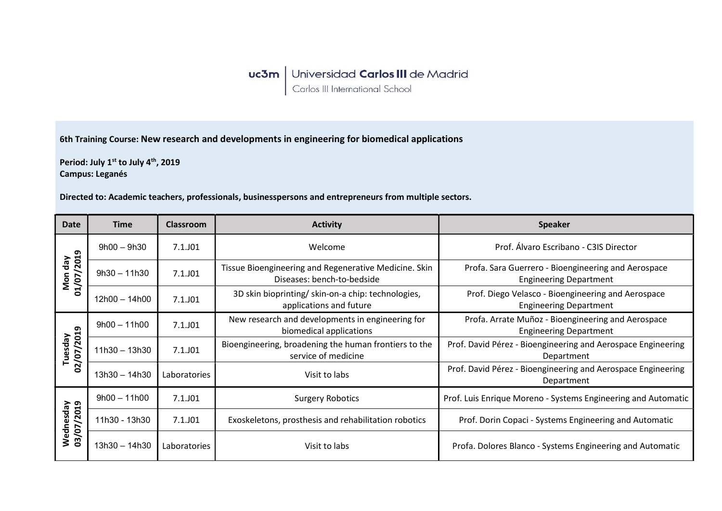## **uc3m** Universidad Carlos III de Madrid<br>Carlos III International School

6th Training Course: New research and developments in engineering for biomedical applications

Period: July 1st to July 4<sup>th</sup>, 2019 Campus: Leganés

Directed to: Academic teachers, professionals, businesspersons and entrepreneurs from multiple sectors.

| <b>Date</b>             | <b>Time</b>     | <b>Classroom</b> | <b>Activity</b>                                                                     | <b>Speaker</b>                                                                       |
|-------------------------|-----------------|------------------|-------------------------------------------------------------------------------------|--------------------------------------------------------------------------------------|
| Mon day<br>01/07/2019   | $9h00 - 9h30$   | $7.1.$ JO1       | Welcome                                                                             | Prof. Álvaro Escribano - C3IS Director                                               |
|                         | $9h30 - 11h30$  | 7.1.J01          | Tissue Bioengineering and Regenerative Medicine. Skin<br>Diseases: bench-to-bedside | Profa. Sara Guerrero - Bioengineering and Aerospace<br><b>Engineering Department</b> |
|                         | $12h00 - 14h00$ | $7.1.$ JO1       | 3D skin bioprinting/ skin-on-a chip: technologies,<br>applications and future       | Prof. Diego Velasco - Bioengineering and Aerospace<br><b>Engineering Department</b>  |
| 02/07/2019<br>Tuesday   | $9h00 - 11h00$  | 7.1.J01          | New research and developments in engineering for<br>biomedical applications         | Profa. Arrate Muñoz - Bioengineering and Aerospace<br><b>Engineering Department</b>  |
|                         | $11h30 - 13h30$ | $7.1.$ JO1       | Bioengineering, broadening the human frontiers to the<br>service of medicine        | Prof. David Pérez - Bioengineering and Aerospace Engineering<br>Department           |
|                         | $13h30 - 14h30$ | Laboratories     | Visit to labs                                                                       | Prof. David Pérez - Bioengineering and Aerospace Engineering<br>Department           |
| Wednesday<br>03/07/2019 | $9h00 - 11h00$  | $7.1.$ JO1       | <b>Surgery Robotics</b>                                                             | Prof. Luis Enrique Moreno - Systems Engineering and Automatic                        |
|                         | 11h30 - 13h30   | $7.1.$ JO1       | Exoskeletons, prosthesis and rehabilitation robotics                                | Prof. Dorin Copaci - Systems Engineering and Automatic                               |
|                         | $13h30 - 14h30$ | Laboratories     | Visit to labs                                                                       | Profa. Dolores Blanco - Systems Engineering and Automatic                            |